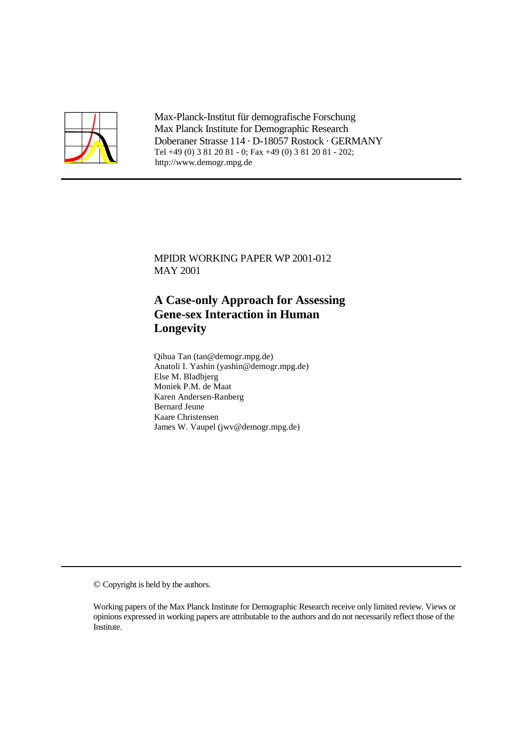

Max-Planck-Institut für demografische Forschung Max Planck Institute for Demographic Research Doberaner Strasse 114 · D-18057 Rostock · GERMANY Tel +49 (0) 3 81 20 81 - 0; Fax +49 (0) 3 81 20 81 - 202; http://www.demogr.mpg.de

MPIDR WORKING PAPER WP 2001-012 MAY 2001

# **A Case-only Approach for Assessing Gene-sex Interaction in Human Longevity**

Qihua Tan (tan@demogr.mpg.de) Anatoli I. Yashin (yashin@demogr.mpg.de) Else M. Bladbjerg Moniek P.M. de Maat Karen Andersen-Ranberg Bernard Jeune Kaare Christensen James W. Vaupel (jwv@demogr.mpg.de)

© Copyright is held by the authors.

Working papers of the Max Planck Institute for Demographic Research receive only limited review. Views or opinions expressed in working papers are attributable to the authors and do not necessarily reflect those of the Institute.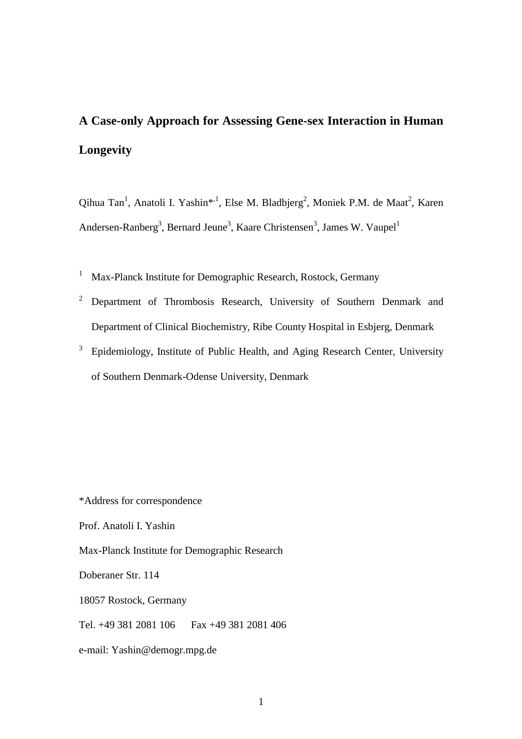# **A Case-only Approach for Assessing Gene-sex Interaction in Human Longevity**

Qihua Tan<sup>1</sup>, Anatoli I. Yashin\*,<sup>1</sup>, Else M. Bladbjerg<sup>2</sup>, Moniek P.M. de Maat<sup>2</sup>, Karen Andersen-Ranberg<sup>3</sup>, Bernard Jeune<sup>3</sup>, Kaare Christensen<sup>3</sup>, James W. Vaupel<sup>1</sup>

- <sup>1</sup> Max-Planck Institute for Demographic Research, Rostock, Germany
- <sup>2</sup> Department of Thrombosis Research, University of Southern Denmark and Department of Clinical Biochemistry, Ribe County Hospital in Esbjerg, Denmark
- <sup>3</sup> Epidemiology, Institute of Public Health, and Aging Research Center, University of Southern Denmark-Odense University, Denmark

\*Address for correspondence

Prof. Anatoli I. Yashin

Max-Planck Institute for Demographic Research

Doberaner Str. 114

18057 Rostock, Germany

Tel. +49 381 2081 106 Fax +49 381 2081 406

e-mail: Yashin@demogr.mpg.de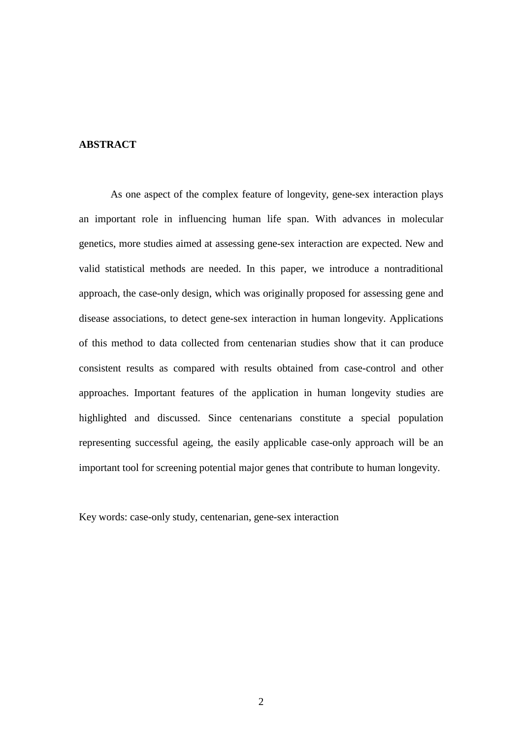### **ABSTRACT**

As one aspect of the complex feature of longevity, gene-sex interaction plays an important role in influencing human life span. With advances in molecular genetics, more studies aimed at assessing gene-sex interaction are expected. New and valid statistical methods are needed. In this paper, we introduce a nontraditional approach, the case-only design, which was originally proposed for assessing gene and disease associations, to detect gene-sex interaction in human longevity. Applications of this method to data collected from centenarian studies show that it can produce consistent results as compared with results obtained from case-control and other approaches. Important features of the application in human longevity studies are highlighted and discussed. Since centenarians constitute a special population representing successful ageing, the easily applicable case-only approach will be an important tool for screening potential major genes that contribute to human longevity.

Key words: case-only study, centenarian, gene-sex interaction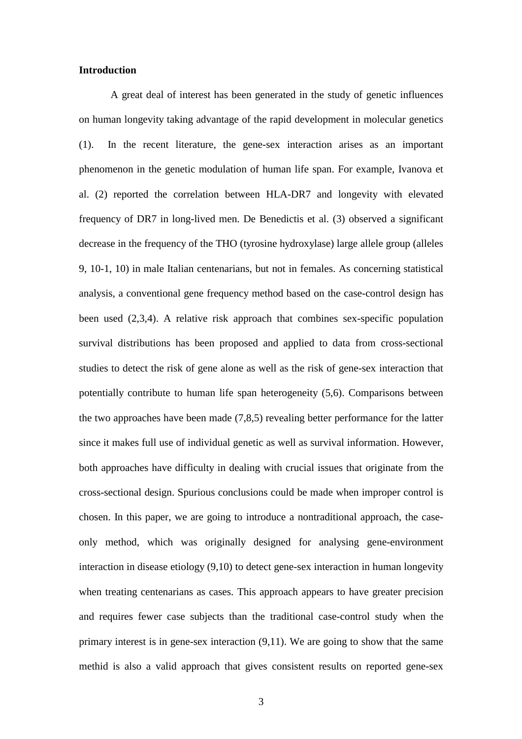#### **Introduction**

A great deal of interest has been generated in the study of genetic influences on human longevity taking advantage of the rapid development in molecular genetics (1). In the recent literature, the gene-sex interaction arises as an important phenomenon in the genetic modulation of human life span. For example, Ivanova et al. (2) reported the correlation between HLA-DR7 and longevity with elevated frequency of DR7 in long-lived men. De Benedictis et al. (3) observed a significant decrease in the frequency of the THO (tyrosine hydroxylase) large allele group (alleles 9, 10-1, 10) in male Italian centenarians, but not in females. As concerning statistical analysis, a conventional gene frequency method based on the case-control design has been used (2,3,4). A relative risk approach that combines sex-specific population survival distributions has been proposed and applied to data from cross-sectional studies to detect the risk of gene alone as well as the risk of gene-sex interaction that potentially contribute to human life span heterogeneity (5,6). Comparisons between the two approaches have been made (7,8,5) revealing better performance for the latter since it makes full use of individual genetic as well as survival information. However, both approaches have difficulty in dealing with crucial issues that originate from the cross-sectional design. Spurious conclusions could be made when improper control is chosen. In this paper, we are going to introduce a nontraditional approach, the caseonly method, which was originally designed for analysing gene-environment interaction in disease etiology (9,10) to detect gene-sex interaction in human longevity when treating centenarians as cases. This approach appears to have greater precision and requires fewer case subjects than the traditional case-control study when the primary interest is in gene-sex interaction (9,11). We are going to show that the same methid is also a valid approach that gives consistent results on reported gene-sex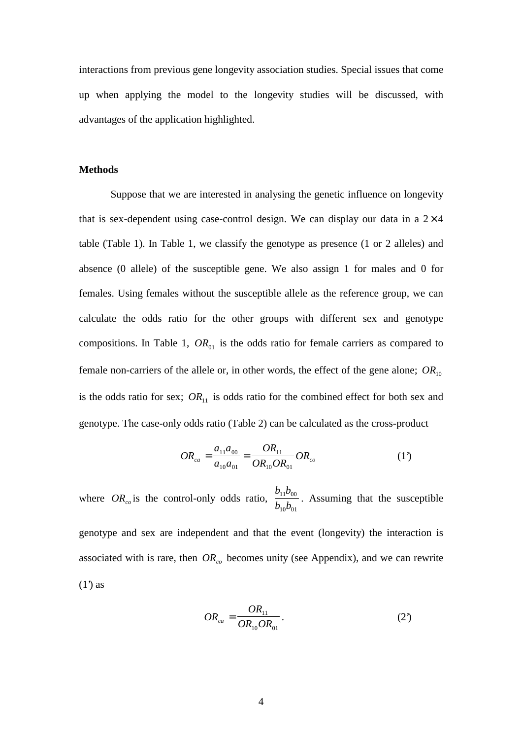interactions from previous gene longevity association studies. Special issues that come up when applying the model to the longevity studies will be discussed, with advantages of the application highlighted.

#### **Methods**

Suppose that we are interested in analysing the genetic influence on longevity that is sex-dependent using case-control design. We can display our data in a  $2\times 4$ table (Table 1). In Table 1, we classify the genotype as presence (1 or 2 alleles) and absence (0 allele) of the susceptible gene. We also assign 1 for males and 0 for females. Using females without the susceptible allele as the reference group, we can calculate the odds ratio for the other groups with different sex and genotype compositions. In Table 1,  $OR_{01}$  is the odds ratio for female carriers as compared to female non-carriers of the allele or, in other words, the effect of the gene alone;  $OR_{10}$ is the odds ratio for sex;  $OR_{11}$  is odds ratio for the combined effect for both sex and genotype. The case-only odds ratio (Table 2) can be calculated as the cross-product

$$
OR_{ca} = \frac{a_{11}a_{00}}{a_{10}a_{01}} = \frac{OR_{11}}{OR_{10}OR_{01}}OR_{co}
$$
 (1')

where  $OR_{co}$  is the control-only odds ratio,  $b_{11}b$  $b_{10}b$  $11^{10}00$  $10^{10}$ . Assuming that the susceptible genotype and sex are independent and that the event (longevity) the interaction is associated with is rare, then  $OR_{co}$  becomes unity (see Appendix), and we can rewrite  $(1')$  as

$$
OR_{ca} = \frac{OR_{11}}{OR_{10}OR_{01}}.
$$
 (2)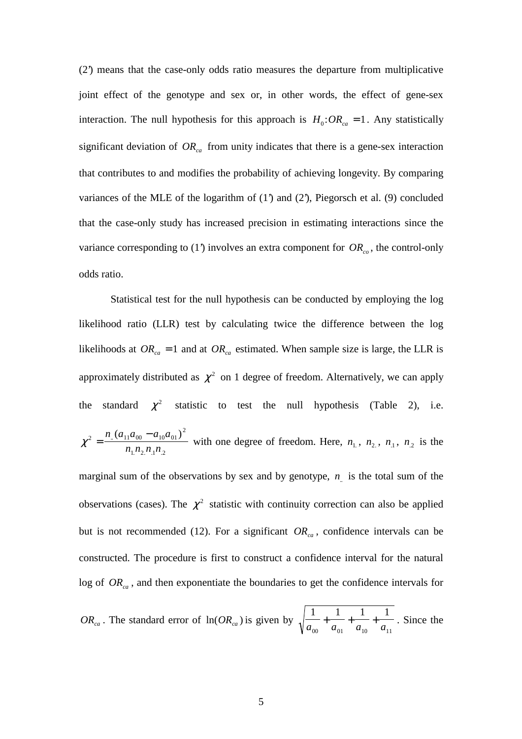(2') means that the case-only odds ratio measures the departure from multiplicative joint effect of the genotype and sex or, in other words, the effect of gene-sex interaction. The null hypothesis for this approach is  $H_0$ : $OR_{ca} = 1$ . Any statistically significant deviation of  $OR_{ca}$  from unity indicates that there is a gene-sex interaction that contributes to and modifies the probability of achieving longevity. By comparing variances of the MLE of the logarithm of  $(1)$  and  $(2)$ , Piegorsch et al.  $(9)$  concluded that the case-only study has increased precision in estimating interactions since the variance corresponding to (1) involves an extra component for  $OR_{co}$ , the control-only odds ratio.

Statistical test for the null hypothesis can be conducted by employing the log likelihood ratio (LLR) test by calculating twice the difference between the log likelihoods at  $OR_{ca} = 1$  and at  $OR_{ca}$  estimated. When sample size is large, the LLR is approximately distributed as  $\chi^2$  on 1 degree of freedom. Alternatively, we can apply the standard  $\chi^2$  statistic to test the null hypothesis (Table 2), i.e.  $\chi^2 = \frac{n_{\text{u}} \times n_{11} n_{00}}{n_{10} n_{01}}$ 2  $1.12.111.2$  $=\frac{n_{\cdot}(a_{11}a_{00}-a_{10}a_{00})}{a_{10}a_{00}-a_{10}a_{00}}$  $n_1 n_2 n_1 n$ ..  $\mu_{2}$  $\mu_{1}$  $\mu_{2}$  $\frac{(a_{11}a_{00} - a_{10}a_{01})^2}{n n n n n}$  with one degree of freedom. Here,  $n_1$ ,  $n_2$ ,  $n_1$ ,  $n_2$  is the

marginal sum of the observations by sex and by genotype,  $n$  is the total sum of the observations (cases). The  $\chi^2$  statistic with continuity correction can also be applied but is not recommended (12). For a significant  $OR_{ca}$ , confidence intervals can be constructed. The procedure is first to construct a confidence interval for the natural log of  $OR_{ca}$ , and then exponentiate the boundaries to get the confidence intervals for

$$
OR_{ca}
$$
. The standard error of  $ln(OR_{ca})$  is given by  $\sqrt{\frac{1}{a_{00}} + \frac{1}{a_{01}} + \frac{1}{a_{10}} + \frac{1}{a_{11}}}$ . Since the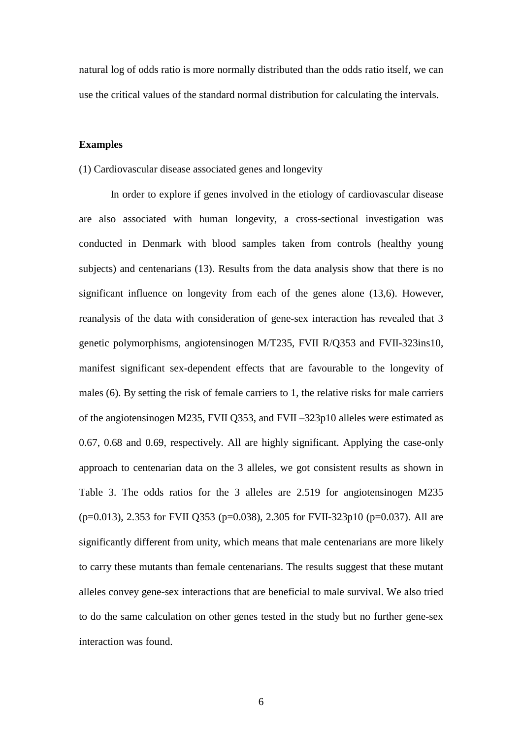natural log of odds ratio is more normally distributed than the odds ratio itself, we can use the critical values of the standard normal distribution for calculating the intervals.

#### **Examples**

#### (1) Cardiovascular disease associated genes and longevity

In order to explore if genes involved in the etiology of cardiovascular disease are also associated with human longevity, a cross-sectional investigation was conducted in Denmark with blood samples taken from controls (healthy young subjects) and centenarians (13). Results from the data analysis show that there is no significant influence on longevity from each of the genes alone (13,6). However, reanalysis of the data with consideration of gene-sex interaction has revealed that 3 genetic polymorphisms, angiotensinogen M/T235, FVII R/Q353 and FVII-323ins10, manifest significant sex-dependent effects that are favourable to the longevity of males (6). By setting the risk of female carriers to 1, the relative risks for male carriers of the angiotensinogen M235, FVII Q353, and FVII –323p10 alleles were estimated as 0.67, 0.68 and 0.69, respectively. All are highly significant. Applying the case-only approach to centenarian data on the 3 alleles, we got consistent results as shown in Table 3. The odds ratios for the 3 alleles are 2.519 for angiotensinogen M235  $(p=0.013)$ , 2.353 for FVII Q353 (p=0.038), 2.305 for FVII-323p10 (p=0.037). All are significantly different from unity, which means that male centenarians are more likely to carry these mutants than female centenarians. The results suggest that these mutant alleles convey gene-sex interactions that are beneficial to male survival. We also tried to do the same calculation on other genes tested in the study but no further gene-sex interaction was found.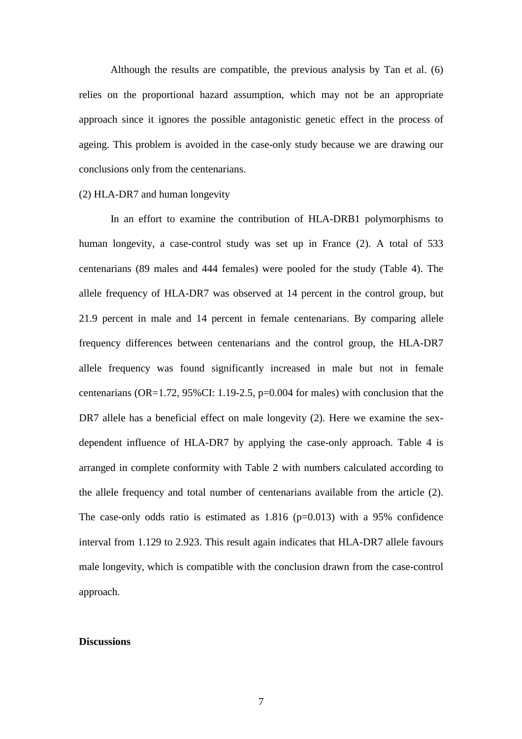Although the results are compatible, the previous analysis by Tan et al. (6) relies on the proportional hazard assumption, which may not be an appropriate approach since it ignores the possible antagonistic genetic effect in the process of ageing. This problem is avoided in the case-only study because we are drawing our conclusions only from the centenarians.

#### (2) HLA-DR7 and human longevity

In an effort to examine the contribution of HLA-DRB1 polymorphisms to human longevity, a case-control study was set up in France (2). A total of 533 centenarians (89 males and 444 females) were pooled for the study (Table 4). The allele frequency of HLA-DR7 was observed at 14 percent in the control group, but 21.9 percent in male and 14 percent in female centenarians. By comparing allele frequency differences between centenarians and the control group, the HLA-DR7 allele frequency was found significantly increased in male but not in female centenarians (OR=1.72,  $95\%$ CI: 1.19-2.5, p=0.004 for males) with conclusion that the DR7 allele has a beneficial effect on male longevity (2). Here we examine the sexdependent influence of HLA-DR7 by applying the case-only approach. Table 4 is arranged in complete conformity with Table 2 with numbers calculated according to the allele frequency and total number of centenarians available from the article (2). The case-only odds ratio is estimated as  $1.816$  (p=0.013) with a 95% confidence interval from 1.129 to 2.923. This result again indicates that HLA-DR7 allele favours male longevity, which is compatible with the conclusion drawn from the case-control approach.

#### **Discussions**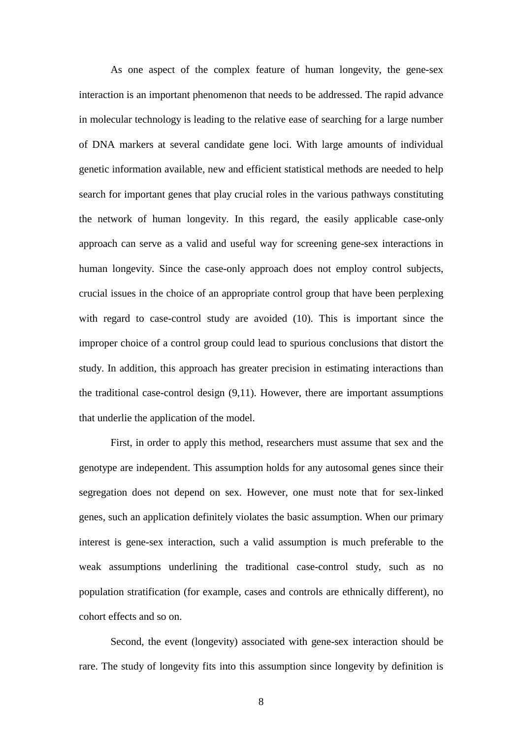As one aspect of the complex feature of human longevity, the gene-sex interaction is an important phenomenon that needs to be addressed. The rapid advance in molecular technology is leading to the relative ease of searching for a large number of DNA markers at several candidate gene loci. With large amounts of individual genetic information available, new and efficient statistical methods are needed to help search for important genes that play crucial roles in the various pathways constituting the network of human longevity. In this regard, the easily applicable case-only approach can serve as a valid and useful way for screening gene-sex interactions in human longevity. Since the case-only approach does not employ control subjects, crucial issues in the choice of an appropriate control group that have been perplexing with regard to case-control study are avoided (10). This is important since the improper choice of a control group could lead to spurious conclusions that distort the study. In addition, this approach has greater precision in estimating interactions than the traditional case-control design (9,11). However, there are important assumptions that underlie the application of the model.

First, in order to apply this method, researchers must assume that sex and the genotype are independent. This assumption holds for any autosomal genes since their segregation does not depend on sex. However, one must note that for sex-linked genes, such an application definitely violates the basic assumption. When our primary interest is gene-sex interaction, such a valid assumption is much preferable to the weak assumptions underlining the traditional case-control study, such as no population stratification (for example, cases and controls are ethnically different), no cohort effects and so on.

Second, the event (longevity) associated with gene-sex interaction should be rare. The study of longevity fits into this assumption since longevity by definition is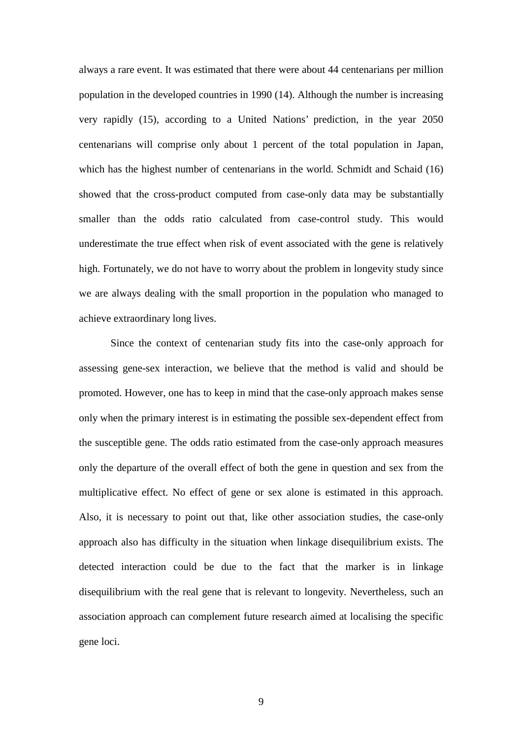always a rare event. It was estimated that there were about 44 centenarians per million population in the developed countries in 1990 (14). Although the number is increasing very rapidly (15), according to a United Nations' prediction, in the year 2050 centenarians will comprise only about 1 percent of the total population in Japan, which has the highest number of centenarians in the world. Schmidt and Schaid (16) showed that the cross-product computed from case-only data may be substantially smaller than the odds ratio calculated from case-control study. This would underestimate the true effect when risk of event associated with the gene is relatively high. Fortunately, we do not have to worry about the problem in longevity study since we are always dealing with the small proportion in the population who managed to achieve extraordinary long lives.

Since the context of centenarian study fits into the case-only approach for assessing gene-sex interaction, we believe that the method is valid and should be promoted. However, one has to keep in mind that the case-only approach makes sense only when the primary interest is in estimating the possible sex-dependent effect from the susceptible gene. The odds ratio estimated from the case-only approach measures only the departure of the overall effect of both the gene in question and sex from the multiplicative effect. No effect of gene or sex alone is estimated in this approach. Also, it is necessary to point out that, like other association studies, the case-only approach also has difficulty in the situation when linkage disequilibrium exists. The detected interaction could be due to the fact that the marker is in linkage disequilibrium with the real gene that is relevant to longevity. Nevertheless, such an association approach can complement future research aimed at localising the specific gene loci.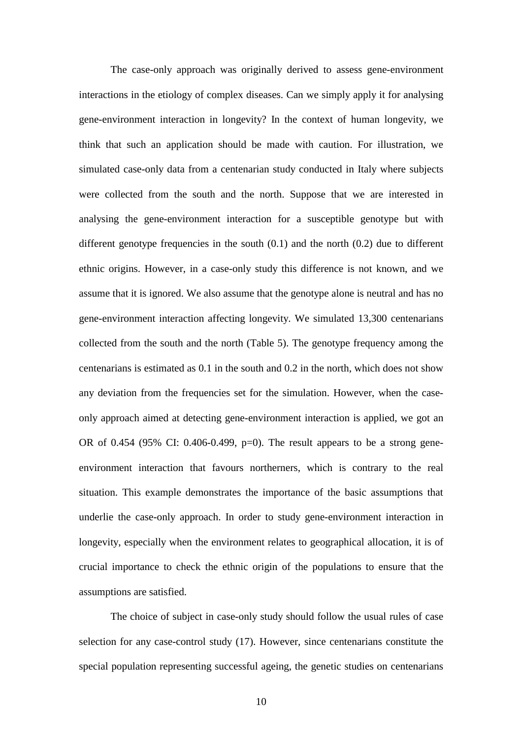The case-only approach was originally derived to assess gene-environment interactions in the etiology of complex diseases. Can we simply apply it for analysing gene-environment interaction in longevity? In the context of human longevity, we think that such an application should be made with caution. For illustration, we simulated case-only data from a centenarian study conducted in Italy where subjects were collected from the south and the north. Suppose that we are interested in analysing the gene-environment interaction for a susceptible genotype but with different genotype frequencies in the south  $(0.1)$  and the north  $(0.2)$  due to different ethnic origins. However, in a case-only study this difference is not known, and we assume that it is ignored. We also assume that the genotype alone is neutral and has no gene-environment interaction affecting longevity. We simulated 13,300 centenarians collected from the south and the north (Table 5). The genotype frequency among the centenarians is estimated as 0.1 in the south and 0.2 in the north, which does not show any deviation from the frequencies set for the simulation. However, when the caseonly approach aimed at detecting gene-environment interaction is applied, we got an OR of 0.454 (95% CI: 0.406-0.499, p=0). The result appears to be a strong geneenvironment interaction that favours northerners, which is contrary to the real situation. This example demonstrates the importance of the basic assumptions that underlie the case-only approach. In order to study gene-environment interaction in longevity, especially when the environment relates to geographical allocation, it is of crucial importance to check the ethnic origin of the populations to ensure that the assumptions are satisfied.

The choice of subject in case-only study should follow the usual rules of case selection for any case-control study (17). However, since centenarians constitute the special population representing successful ageing, the genetic studies on centenarians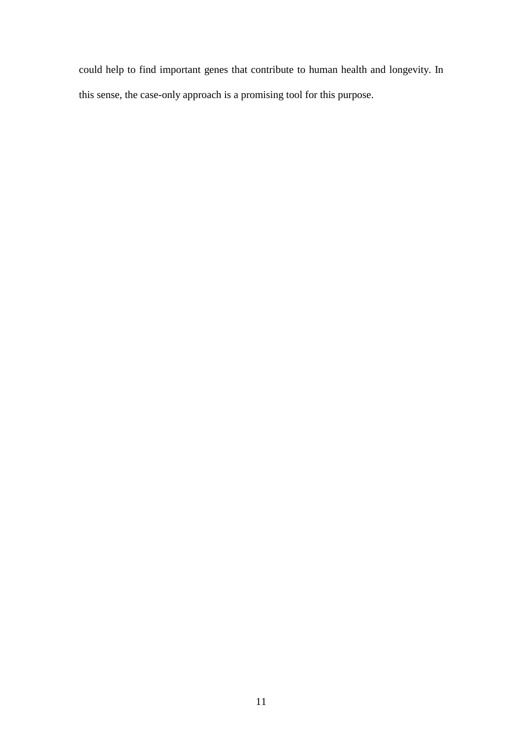could help to find important genes that contribute to human health and longevity. In this sense, the case-only approach is a promising tool for this purpose.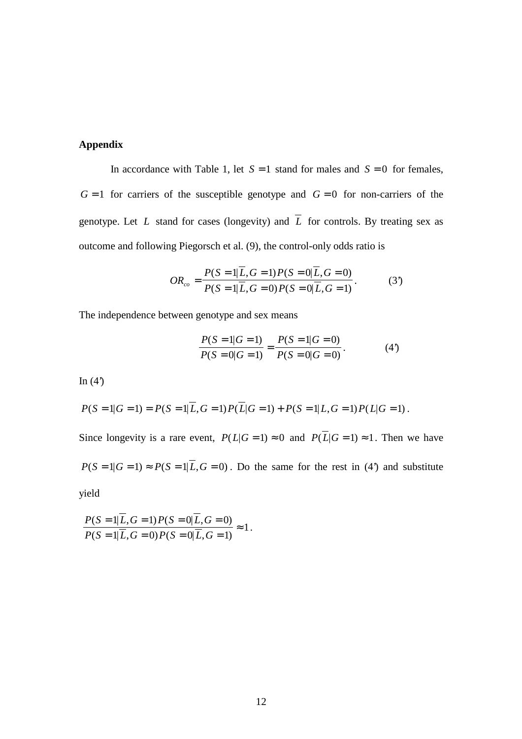## **Appendix**

In accordance with Table 1, let  $S = 1$  stand for males and  $S = 0$  for females,  $G = 1$  for carriers of the susceptible genotype and  $G = 0$  for non-carriers of the genotype. Let *L* stand for cases (longevity) and  $\overline{L}$  for controls. By treating sex as outcome and following Piegorsch et al. (9), the control-only odds ratio is

$$
OR_{co} = \frac{P(S=1|\overline{L}, G=1)P(S=0|\overline{L}, G=0)}{P(S=1|\overline{L}, G=0)P(S=0|\overline{L}, G=1)}.
$$
 (3')

The independence between genotype and sex means

$$
\frac{P(S=1|G=1)}{P(S=0|G=1)} = \frac{P(S=1|G=0)}{P(S=0|G=0)}.
$$
(4')

In  $(4')$ 

$$
P(S = 1|G = 1) = P(S = 1|\overline{L}, G = 1)P(\overline{L}|G = 1) + P(S = 1|L, G = 1)P(L|G = 1).
$$

Since longevity is a rare event,  $P(L|G = 1) \approx 0$  and  $P(\overline{L}|G = 1) \approx 1$ . Then we have  $P(S = 1|G = 1) \approx P(S = 1|\overline{L}, G = 0)$ . Do the same for the rest in (4) and substitute yield

1.

$$
\frac{P(S=1|\overline{L}, G=1) P(S=0|\overline{L}, G=0)}{P(S=1|\overline{L}, G=0) P(S=0|\overline{L}, G=1)} \approx
$$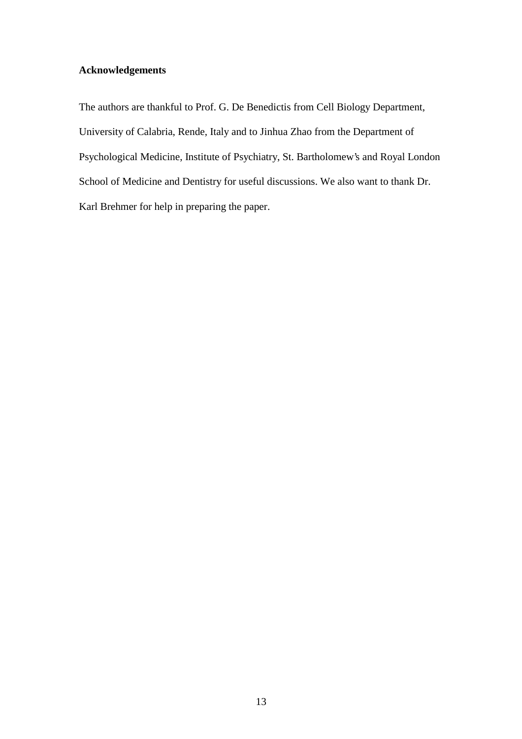# **Acknowledgements**

The authors are thankful to Prof. G. De Benedictis from Cell Biology Department, University of Calabria, Rende, Italy and to Jinhua Zhao from the Department of Psychological Medicine, Institute of Psychiatry, St. Bartholomew's and Royal London School of Medicine and Dentistry for useful discussions. We also want to thank Dr. Karl Brehmer for help in preparing the paper.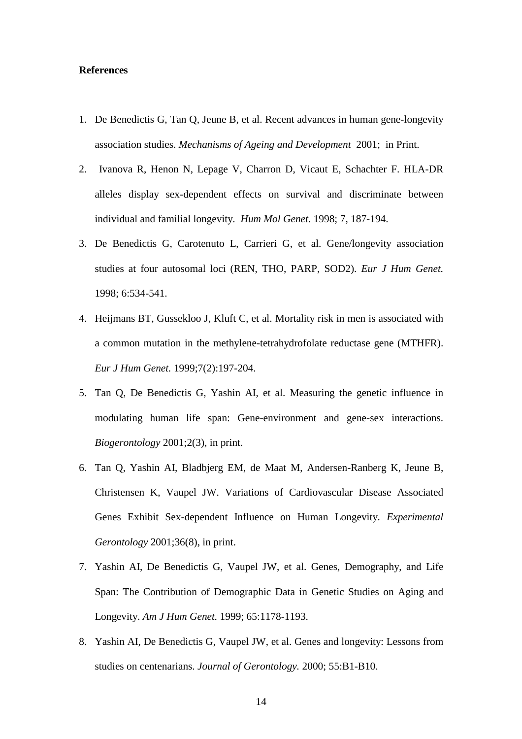#### **References**

- 1. De Benedictis G, Tan Q, Jeune B, et al. Recent advances in human gene-longevity association studies. *Mechanisms of Ageing and Development* 2001; in Print.
- 2. Ivanova R, Henon N, Lepage V, Charron D, Vicaut E, Schachter F. HLA-DR alleles display sex-dependent effects on survival and discriminate between individual and familial longevity. *Hum Mol Genet.* 1998; 7, 187-194.
- 3. De Benedictis G, Carotenuto L, Carrieri G, et al. Gene/longevity association studies at four autosomal loci (REN, THO, PARP, SOD2). *Eur J Hum Genet.* 1998; 6:534-541.
- 4. Heijmans BT, Gussekloo J, Kluft C, et al. Mortality risk in men is associated with a common mutation in the methylene-tetrahydrofolate reductase gene (MTHFR). *Eur J Hum Genet.* 1999;7(2):197-204.
- 5. Tan Q, De Benedictis G, Yashin AI, et al. Measuring the genetic influence in modulating human life span: Gene-environment and gene-sex interactions. *Biogerontology* 2001;2(3), in print.
- 6. Tan Q, Yashin AI, Bladbjerg EM, de Maat M, Andersen-Ranberg K, Jeune B, Christensen K, Vaupel JW. Variations of Cardiovascular Disease Associated Genes Exhibit Sex-dependent Influence on Human Longevity. *Experimental Gerontology* 2001;36(8), in print.
- 7. Yashin AI, De Benedictis G, Vaupel JW, et al. Genes, Demography, and Life Span: The Contribution of Demographic Data in Genetic Studies on Aging and Longevity. *Am J Hum Genet.* 1999; 65:1178-1193.
- 8. Yashin AI, De Benedictis G, Vaupel JW, et al. Genes and longevity: Lessons from studies on centenarians. *Journal of Gerontology.* 2000; 55:B1-B10.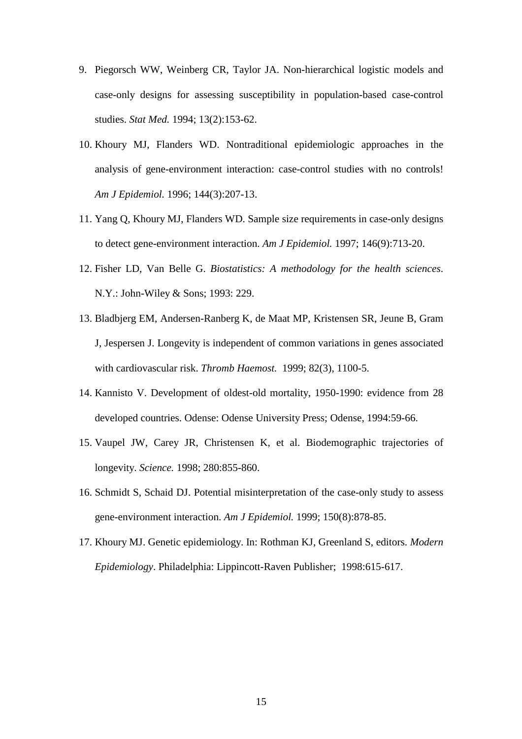- 9. Piegorsch WW, Weinberg CR, Taylor JA. Non-hierarchical logistic models and case-only designs for assessing susceptibility in population-based case-control studies. *Stat Med.* 1994; 13(2):153-62.
- 10. Khoury MJ, Flanders WD. Nontraditional epidemiologic approaches in the analysis of gene-environment interaction: case-control studies with no controls! *Am J Epidemiol.* 1996; 144(3):207-13.
- 11. Yang Q, Khoury MJ, Flanders WD. Sample size requirements in case-only designs to detect gene-environment interaction. *Am J Epidemiol.* 1997; 146(9):713-20.
- 12. Fisher LD, Van Belle G. *Biostatistics: A methodology for the health sciences*. N.Y.: John-Wiley & Sons; 1993: 229.
- 13. Bladbjerg EM, Andersen-Ranberg K, de Maat MP, Kristensen SR, Jeune B, Gram J, Jespersen J. Longevity is independent of common variations in genes associated with cardiovascular risk. *Thromb Haemost.* 1999; 82(3), 1100-5.
- 14. Kannisto V. Development of oldest-old mortality, 1950-1990: evidence from 28 developed countries. Odense: Odense University Press; Odense, 1994:59-66.
- 15. Vaupel JW, Carey JR, Christensen K, et al. Biodemographic trajectories of longevity. *Science.* 1998; 280:855-860.
- 16. Schmidt S, Schaid DJ. Potential misinterpretation of the case-only study to assess gene-environment interaction. *Am J Epidemiol.* 1999; 150(8):878-85.
- 17. Khoury MJ. Genetic epidemiology. In: Rothman KJ, Greenland S, editors. *Modern Epidemiology*. Philadelphia: Lippincott-Raven Publisher; 1998:615-617.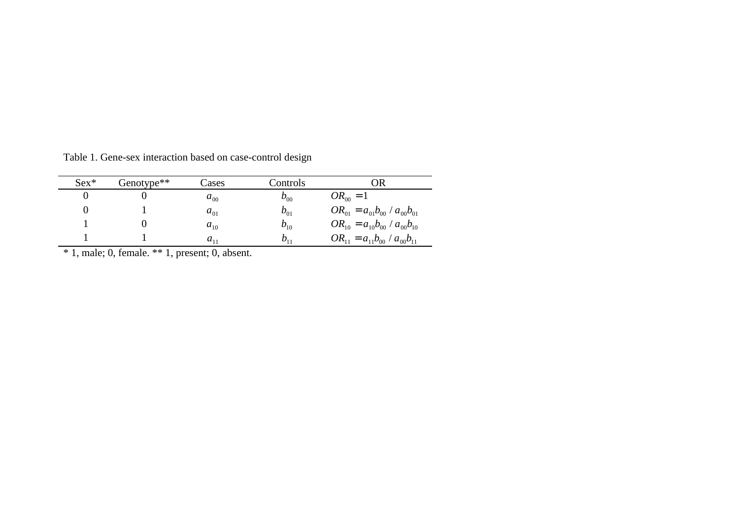| $Sex*$ | Genotype**                                          | Cases    | Controls |                                         |  |  |
|--------|-----------------------------------------------------|----------|----------|-----------------------------------------|--|--|
|        |                                                     | $a_{00}$ | $b_{00}$ | $OR_{00} = 1$                           |  |  |
|        |                                                     | $a_{01}$ | $b_{01}$ | $OR_{01} = a_{01}b_{00} / a_{00}b_{01}$ |  |  |
|        |                                                     | $a_{10}$ | $b_{10}$ | $OR_{10} = a_{10}b_{00} / a_{00}b_{10}$ |  |  |
|        |                                                     | $a_{11}$ | $b_{11}$ | $OR_{11} = a_{11}b_{00} / a_{00}b_{11}$ |  |  |
|        | $*$ 1, male; 0, female. $**$ 1, present; 0, absent. |          |          |                                         |  |  |

Table 1. Gene-sex interaction based on case-control design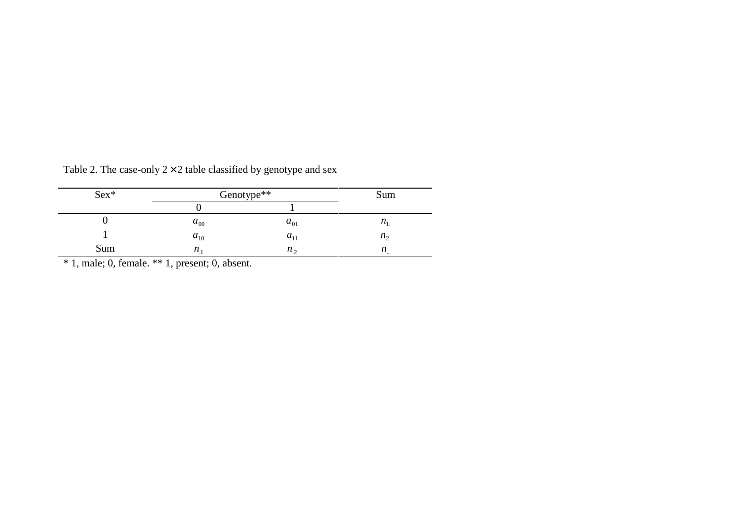| $Sex*$ | Genotype** | Sum               |                           |
|--------|------------|-------------------|---------------------------|
|        |            |                   |                           |
|        | $a_{00}$   | $a_{01}$          | $n_{\rm i}$               |
|        | $a_{10}$   | $a_{11}$          | $n_{\gamma}$              |
| Sum    | n          | $n_{\mathcal{L}}$ | n<br>$\ddot{\phantom{0}}$ |

Table 2. The case-only  $2 \times 2$  table classified by genotype and sex

\* 1, male; 0, female. \*\* 1, present; 0, absent.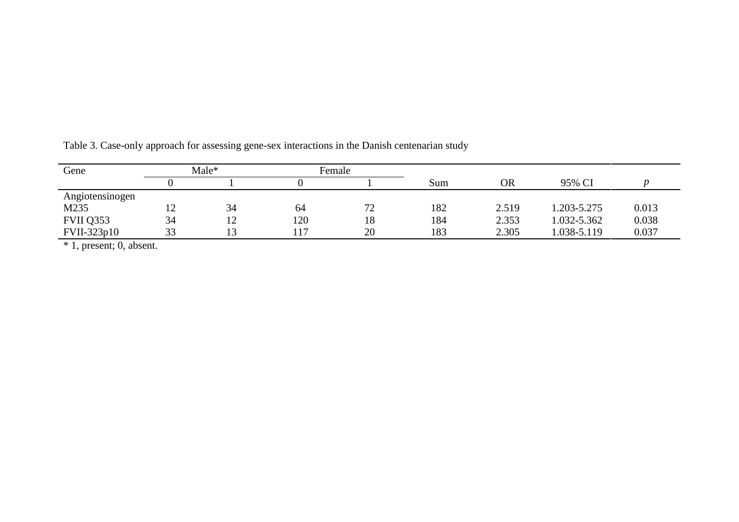| Gene            |     | Male*     |      | Female |     |       |             |       |  |
|-----------------|-----|-----------|------|--------|-----|-------|-------------|-------|--|
|                 |     |           |      |        | Sum | OR    | 95% CI      |       |  |
| Angiotensinogen |     |           |      |        |     |       |             |       |  |
| M235            | ⊥ ∠ | 34        | 64   | 72     | 182 | 2.519 | 1.203-5.275 | 0.013 |  |
| FVII Q353       | 34  | ר ו<br>⊥∠ | 120  | 18     | 184 | 2.353 | 1.032-5.362 | 0.038 |  |
| FVII-323p10     | 33  |           | , 17 | 20     | 183 | 2.305 | 1.038-5.119 | 0.037 |  |

Table 3. Case-only approach for assessing gene-sex interactions in the Danish centenarian study

\* 1, present; 0, absent.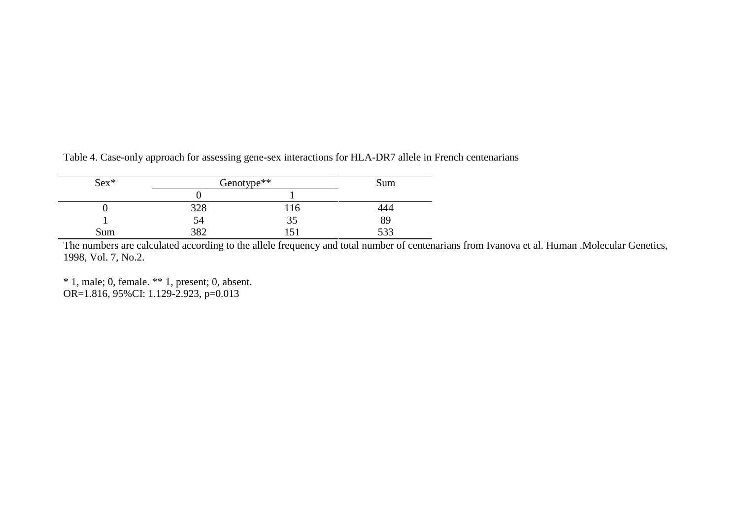| $Sex*$ | Genotype** |     | Sum   |  |
|--------|------------|-----|-------|--|
|        |            |     |       |  |
|        | 328        | 116 | 444   |  |
|        | Э4         | 35  | 89    |  |
| Sum    | 2 Q J      |     | د د د |  |

Table 4. Case-only approach for assessing gene-sex interactions for HLA-DR7 allele in French centenarians

The numbers are calculated according to the allele frequency and total number of centenarians from Ivanova et al. Human .Molecular Genetics, 1998, Vol. 7, No.2.

\* 1, male; 0, female. \*\* 1, present; 0, absent. OR=1.816, 95%CI: 1.129-2.923, p=0.013